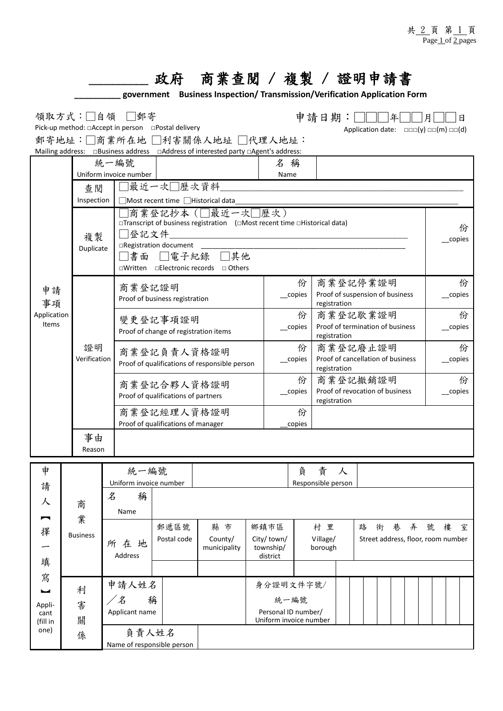|                  |                 |              |                                    | 政府                                                 | 商業查閲 / 複製 / 證明申請書                                                                                                                              |             |                       |                                                  |                                                   |   |                                                                 |  |  |        |             |        |   |   |  |
|------------------|-----------------|--------------|------------------------------------|----------------------------------------------------|------------------------------------------------------------------------------------------------------------------------------------------------|-------------|-----------------------|--------------------------------------------------|---------------------------------------------------|---|-----------------------------------------------------------------|--|--|--------|-------------|--------|---|---|--|
|                  |                 |              |                                    |                                                    | government Business Inspection/Transmission/Verification Application Form                                                                      |             |                       |                                                  |                                                   |   |                                                                 |  |  |        |             |        |   |   |  |
|                  |                 |              | 領取方式:□自領 □郵寄                       | Pick-up method: □Accept in person □Postal delivery | 郵寄地址:□商業所在地 □利害關係人地址 □代理人地址:                                                                                                                   |             |                       |                                                  | 申請日期:                                             |   | Application date: $\Box \Box \Box(y) \Box \Box(m) \Box \Box(d)$ |  |  |        |             |        |   | 日 |  |
| 統一編號<br>名稱       |                 |              |                                    |                                                    |                                                                                                                                                |             |                       |                                                  |                                                   |   |                                                                 |  |  |        |             |        |   |   |  |
| 申請<br>事項         |                 |              | Uniform invoice number             |                                                    |                                                                                                                                                |             | Name                  |                                                  |                                                   |   |                                                                 |  |  |        |             |        |   |   |  |
|                  |                 | 杳 闊          |                                    | 最近一次□歷次資料                                          |                                                                                                                                                |             |                       |                                                  |                                                   |   |                                                                 |  |  |        |             |        |   |   |  |
|                  |                 | Inspection   | □Most recent time □Historical data |                                                    |                                                                                                                                                |             |                       |                                                  |                                                   |   |                                                                 |  |  |        |             |        |   |   |  |
|                  | 複製              | Duplicate    | 登記文件<br> 書面                        | □Registration document<br>□電子紀錄                    | 商業登記抄本 (国最近一次国歷次)<br>□Transcript of business registration (□Most recent time □Historical data)<br>□其他<br>□Written □Electronic records □ Others |             |                       |                                                  |                                                   |   |                                                                 |  |  |        | 份<br>copies |        |   |   |  |
|                  |                 |              |                                    |                                                    |                                                                                                                                                |             |                       |                                                  | 商業登記停業證明                                          |   |                                                                 |  |  |        |             |        |   | 份 |  |
|                  |                 |              | 商業登記證明                             | Proof of business registration                     |                                                                                                                                                |             |                       | 份<br>_copies                                     | Proof of suspension of business                   |   |                                                                 |  |  |        | copies      |        |   |   |  |
| Application      |                 |              |                                    | 變更登記事項證明                                           |                                                                                                                                                |             |                       |                                                  | registration<br>商業登記歇業證明                          |   |                                                                 |  |  |        |             | 份      |   |   |  |
| Items            |                 |              |                                    | Proof of change of registration items              |                                                                                                                                                |             | 份<br>copies           | Proof of termination of business<br>registration |                                                   |   |                                                                 |  |  | copies |             |        |   |   |  |
|                  | 證明              |              |                                    | 商業登記負責人資格證明                                        |                                                                                                                                                |             | 份                     | 商業登記廢止證明                                         |                                                   |   |                                                                 |  |  |        | 份           |        |   |   |  |
|                  |                 | Verification |                                    |                                                    | Proof of qualifications of responsible person                                                                                                  |             |                       | copies                                           | Proof of cancellation of business<br>registration |   |                                                                 |  |  |        | _copies     |        |   |   |  |
|                  |                 |              |                                    |                                                    | 商業登記合夥人資格證明<br>Proof of qualifications of partners<br>商業登記經理人資格證明                                                                              |             |                       | 份<br>copies                                      | 商業登記撤銷證明<br>Proof of revocation of business       |   |                                                                 |  |  |        |             | copies | 份 |   |  |
|                  |                 |              |                                    |                                                    |                                                                                                                                                |             |                       |                                                  | registration                                      |   |                                                                 |  |  |        |             |        |   |   |  |
|                  |                 |              | Proof of qualifications of manager |                                                    |                                                                                                                                                | 份<br>copies |                       |                                                  |                                                   |   |                                                                 |  |  |        |             |        |   |   |  |
|                  |                 | 事由           |                                    |                                                    |                                                                                                                                                |             |                       |                                                  |                                                   |   |                                                                 |  |  |        |             |        |   |   |  |
|                  |                 | Reason       |                                    |                                                    |                                                                                                                                                |             |                       |                                                  |                                                   |   |                                                                 |  |  |        |             |        |   |   |  |
| 申                |                 |              | 統一編號                               |                                                    |                                                                                                                                                |             |                       | 負                                                | 責                                                 | 人 |                                                                 |  |  |        |             |        |   |   |  |
| 請                |                 |              | Uniform invoice number             |                                                    |                                                                                                                                                |             |                       | Responsible person                               |                                                   |   |                                                                 |  |  |        |             |        |   |   |  |
| 人                | 商               | 名            | 稱                                  |                                                    |                                                                                                                                                |             |                       |                                                  |                                                   |   |                                                                 |  |  |        |             |        |   |   |  |
|                  | 業               |              | Name                               |                                                    |                                                                                                                                                |             |                       |                                                  |                                                   |   |                                                                 |  |  |        |             |        |   |   |  |
| 擇<br>填<br>寫<br>┕ | <b>Business</b> |              | 郵遞區號<br>Postal code                |                                                    | 縣市<br>County/                                                                                                                                  |             | 鄉鎮市區<br>City/ town/   |                                                  | 村 里<br>Village/                                   |   | 街巷弄號樓<br>路<br>Street address, floor, room number                |  |  |        |             |        | 室 |   |  |
|                  |                 |              | 所在地<br>Address                     |                                                    | municipality                                                                                                                                   |             | township/<br>district |                                                  | borough                                           |   |                                                                 |  |  |        |             |        |   |   |  |
|                  |                 |              |                                    |                                                    |                                                                                                                                                |             |                       |                                                  |                                                   |   |                                                                 |  |  |        |             |        |   |   |  |
|                  |                 |              | 申請人姓名                              |                                                    |                                                                                                                                                |             | 身分證明文件字號/             |                                                  |                                                   |   |                                                                 |  |  |        |             |        |   |   |  |
|                  | 利               |              | 名                                  | 稱                                                  |                                                                                                                                                | 統一編號        |                       |                                                  |                                                   |   |                                                                 |  |  |        |             |        |   |   |  |
| Appli-<br>cant   | 害               |              | Applicant name                     |                                                    |                                                                                                                                                |             | Personal ID number/   |                                                  |                                                   |   |                                                                 |  |  |        |             |        |   |   |  |
| (fill in<br>one) | 關               |              | Uniform invoice number<br>負責人姓名    |                                                    |                                                                                                                                                |             |                       |                                                  |                                                   |   |                                                                 |  |  |        |             |        |   |   |  |
|                  | 係               |              | Name of responsible person         |                                                    |                                                                                                                                                |             |                       |                                                  |                                                   |   |                                                                 |  |  |        |             |        |   |   |  |